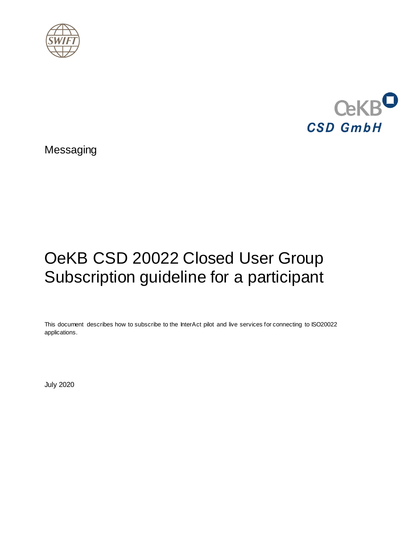



Messaging

# OeKB CSD 20022 Closed User Group Subscription guideline for a participant

This document describes how to subscribe to the InterAct pilot and live services for connecting to ISO20022 applications.

July 2020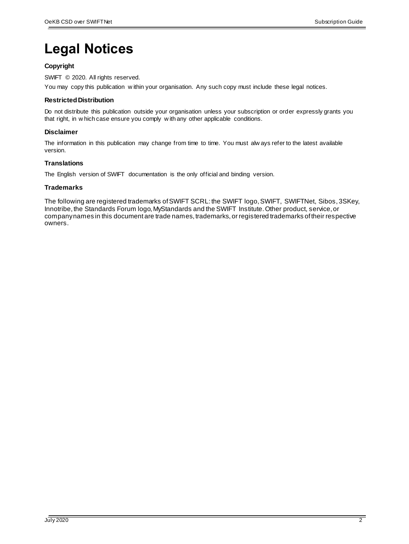## <span id="page-1-0"></span>**Legal Notices**

### **Copyright**

SWIFT © 2020. All rights reserved.

You may copy this publication w ithin your organisation. Any such copy must include these legal notices.

### **Restricted Distribution**

Do not distribute this publication outside your organisation unless your subscription or order expressly grants you that right, in w hich case ensure you comply w ith any other applicable conditions.

### **Disclaimer**

The information in this publication may change from time to time. You must alw ays refer to the latest available version.

### **Translations**

The English version of SWIFT documentation is the only official and binding version.

### **Trademarks**

The following are registered trademarks of SWIFT SCRL: the SWIFT logo, SWIFT, SWIFTNet, Sibos, 3SKey, Innotribe, the Standards Forum logo, MyStandards and the SWIFT Institute. Other product, service, or company names in this document are trade names, trademarks, or registered trademarks of their respective owners.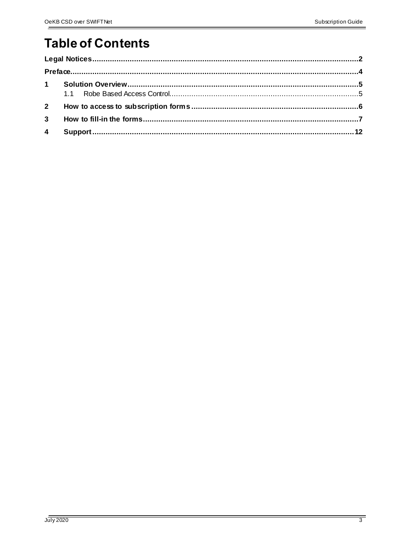### **Table of Contents**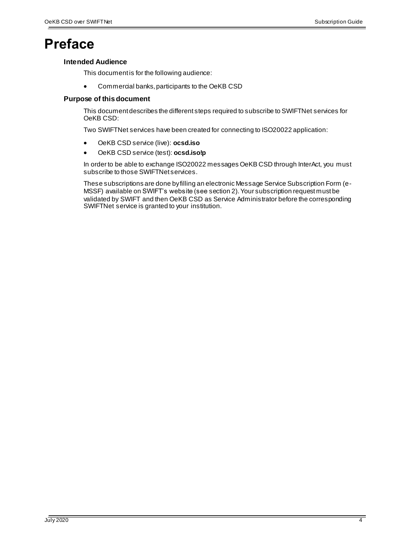### <span id="page-3-0"></span>**Preface**

### **Intended Audience**

This document is for the following audience:

Commercial banks, participants to the OeKB CSD

### **Purpose of this document**

This document describes the different steps required to subscribe to SWIFTNet services for OeKB CSD:

Two SWIFTNet services have been created for connecting to ISO20022 application:

- OeKB CSD service (live): **ocsd.iso**
- OeKB CSD service (test): **ocsd.iso!p**

In order to be able to exchange ISO20022 messages OeKB CSD through InterAct, you must subscribe to those SWIFTNet services.

These subscriptions are done by filling an electronic Message Service Subscription Form (e-MSSF) available on SWIFT's website (see section 2). Your subscription request must be validated by SWIFT and then OeKB CSD as Service Administrator before the corresponding SWIFTNet service is granted to your institution.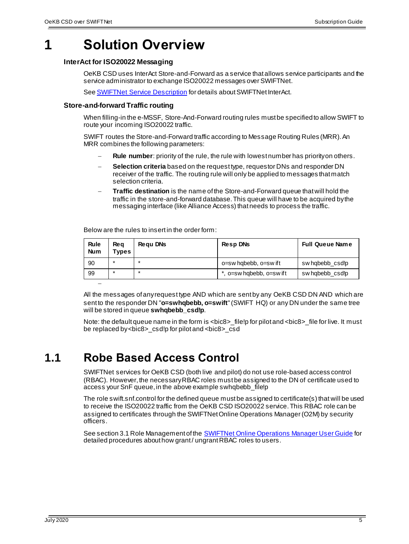### <span id="page-4-0"></span>**1 Solution Overview**

### **InterAct for ISO20022 Messaging**

OeKB CSD uses InterAct Store-and-Forward as a service that allows service participants and the service administrator to exchange ISO20022 messages over SWIFTNet.

Se[e SWIFTNet Service Description](https://www2.swift.com/uhbonline/books/protected/en_uk/sn_sd/index.htm) for details about SWIFTNet InterAct.

### **Store-and-forward Traffic routing**

When filling-in the e-MSSF, Store-And-Forward routing rules must be specified to allow SWIFT to route your incoming ISO20022 traffic.

SWIFT routes the Store-and-Forward traffic according to Message Routing Rules (MRR). An MRR combines the following parameters:

- **Rule number**: priority of the rule, the rule with lowest number has priority on others.
- **Selection criteria** based on the request type, requestor DNs and responder DN receiver of the traffic. The routing rule will only be applied to messages that match selection criteria.
- **Traffic destination** is the name of the Store-and-Forward queue that will hold the traffic in the store-and-forward database. This queue will have to be acquired by the messaging interface (like Alliance Access) that needs to process the traffic.

Below are the rules to insert in the order form:

| Rule<br><b>Num</b> | <b>Reg</b><br><b>Types</b> | Regu DNs | <b>RespDNs</b>          | <b>Full Queue Name</b> |
|--------------------|----------------------------|----------|-------------------------|------------------------|
| 90                 | $\star$                    |          | o=sw hgbebb, o=sw if t  | sw habebb csdlp        |
| 99                 | $\star$                    | 大        | , o=sw hqbebb, o=sw ift | sw habebb csdlp        |
|                    |                            |          |                         |                        |

All the messages of anyrequest type AND which are sent by any OeKB CSD DN AND which are sent to the responder DN "**o=swhqbebb, o=swift**" (SWIFT HQ) or any DN under the same tree will be stored in queue **swhqbebb\_csd!p**.

Note: the default queue name in the form is <br/>>bic8>\_file!p for pilot and <br/> <br/>>bic8>\_file for live. It must be replaced by <bic8>\_csd!p for pilot and <bic8>\_csd

### <span id="page-4-1"></span>**1.1 Robe Based Access Control**

SWIFTNet services for OeKB CSD (both live and pilot) do not use role-based access control (RBAC). However, the necessary RBAC roles must be assigned to the DN of certificate used to access your SnF queue, in the above example swhqbebb\_file!p

The role swift.snf.control for the defined queue must be assigned to certificate(s) that will be used to receive the ISO20022 traffic from the OeKB CSD ISO20022 service. This RBAC role can be assigned to certificates through the SWIFTNet Online Operations Manager (O2M) by security officers.

See section 3.1 Role Management of th[e SWIFTNet Online Operations](https://www2.swift.com/uhbonline/books/protected/en_uk/snoomgr_ug/index.htm) Manager User Guide for detailed procedures about how grant / ungrant RBAC roles to users.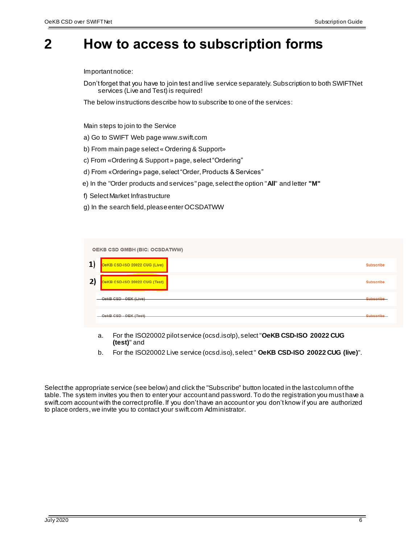### <span id="page-5-0"></span>**2 How to access to subscription forms**

Important notice:

Don't forget that you have to join test and live service separately.Subscription to both SWIFTNet services (Live and Test) is required!

The below instructions describe how to subscribe to one of the services:

Main steps to join to the Service

- a) Go to SWIFT Web page www.swift.com
- b) From main page select « Ordering & Support»
- c) From «Ordering & Support » page, select "Ordering"
- d) From «Ordering» page, select "Order, Products & Services"
- e) In the "Order products and services" page, select the option "**All**" and letter **"M"**
- f) Select Market Infrastructure
- g) In the search field, please enter OCSDATWW

|    | OEKB CSD GMBH (BIC: OCSDATWW)                                                 |                  |
|----|-------------------------------------------------------------------------------|------------------|
| 1) | OeKB CSD-ISO 20022 CUG (Live)<br>the company of the company of the company of | <b>Subscribe</b> |
| 2) | OeKB CSD-ISO 20022 CUG (Test)                                                 | <b>Subscribe</b> |
|    | OekB CSD - OEK (Live)                                                         | Subscribe        |
|    | OekB CSD - OEK (Test)                                                         | Subscribe        |

- a. For the ISO20002 pilot service (ocsd.iso!p), select "**OeKB CSD-ISO 20022 CUG (test)**" and
- b. For the ISO20002 Live service (ocsd.iso), select " **OeKB CSD-ISO 20022 CUG (live)**".

Select the appropriate service (see below) and click the "Subscribe" button located in the last column of the table. The system invites you then to enter your account and password. To do the registration you must have a swift.com account with the correct profile. If you don't have an account or you don't know if you are authorized to place orders, we invite you to contact your swift.com Administrator.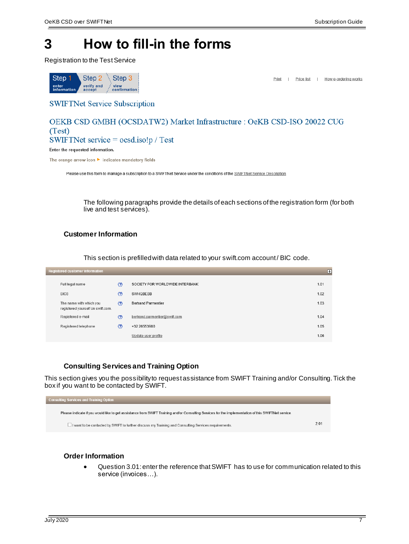### <span id="page-6-0"></span>**3 How to fill-in the forms**

Registration to the Test Service



Print | Price list | How e-ordering works

**SWIFTNet Service Subscription** 

### OEKB CSD GMBH (OCSDATW2) Market Infrastructure : OeKB CSD-ISO 20022 CUG  $(Test)$ SWIFTNet service =  $\cos d \cdot i \cdot \sin l$  Test

Enter the requested information.

The orange arrow icon > indicates mandatory fields

Please use this form to manage a subscription to a SWIFTNet Service under the conditions of the SWIFTNet Service Description

The following paragraphs provide the details of each sections of the registration form (for both live and test services).

### **Customer Information**

This section is prefilled with data related to your swift.com account / BIC code.

| <b>Registered customer information</b>                       |                |                                 | Ε    |
|--------------------------------------------------------------|----------------|---------------------------------|------|
| Full legal name                                              | $\circledcirc$ | SOCIETY FOR WORLDWIDE INTERBANK | 1.01 |
| BIC <sub>8</sub>                                             | Ø              | SWHQBEBB                        | 1.02 |
| The name with which you<br>registered yourself on swift.com. | $\circledcirc$ | <b>Bertrand Parmentier</b>      | 1.03 |
| Registered e-mail                                            | Ø              | bertrand.parmentier@swift.com   | 1.04 |
| Registered telephone                                         | Ø              | +32 26553980                    | 1.05 |
|                                                              |                | Update user profile             | 1.06 |
|                                                              |                |                                 |      |

### **Consulting Services and Training Option**

This section gives you the possibility to request assistance from SWIFT Training and/or Consulting. Tick the box if you want to be contacted by SWIFT.



#### **Order Information**

 Question 3.01: enter the reference that SWIFT has to use for communication related to this service (invoices…).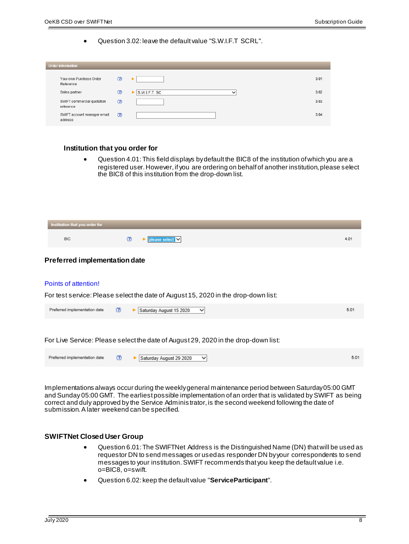Question 3.02: leave the default value "S.W.I.F.T SCRL".

| <b>Order information</b>                |                |                              |      |
|-----------------------------------------|----------------|------------------------------|------|
| Your own Purchase Order<br>Reference    | $\circledR$    |                              | 3.01 |
| Sales partner                           | $\circledR$    | S.W.I.F.T. SC<br>$\check{ }$ | 3.02 |
| SWIFT commercial quotation<br>reference | $\circledcirc$ |                              | 3.03 |
| SWIFT account manager email<br>address  | $\circledcirc$ |                              | 3.04 |

#### **Institution that you order for**

 Question 4.01: This field displays by default the BIC8 of the institution of which you are a registered user. However, if you are ordering on behalf of another institution, please select the BIC8 of this institution from the drop-down list.

| Institution that you order for |  |  |
|--------------------------------|--|--|
| BIC                            |  |  |

### **Preferred implementation date**

#### Points of attention!

For test service: Please select the date of August 15, 2020 in the drop-down list:

| Preferred implementation date | $\circled{r}$ | Saturday August 15 2020<br>◡ | 5.0 |
|-------------------------------|---------------|------------------------------|-----|
|                               |               |                              |     |

For Live Service: Please select the date of August 29, 2020 in the drop-down list:

| Preferred implementation date (?) |  | $\blacktriangleright$ Saturday August 29 2020 $\blacktriangleright$ |  |
|-----------------------------------|--|---------------------------------------------------------------------|--|

Implementations always occur during the weekly general maintenance period between Saturday 05:00 GMT and Sunday 05:00 GMT. The earliest possible implementation of an order that is validated by SWIFT as being correct and duly approved by the Service Adminis trator, is the second weekend following the date of submission. A later weekend can be specified.

#### **SWIFTNet Closed User Group**

- Question 6.01: The SWIFTNet Address is the Distinguished Name (DN) that will be used as requestor DN to send messages or used as responder DN by your correspondents to send messages to your institution. SWIFT recommends that you keep the default value i.e. o=BIC8, o=swift.
- Question 6.02: keep the default value "**ServiceParticipant**".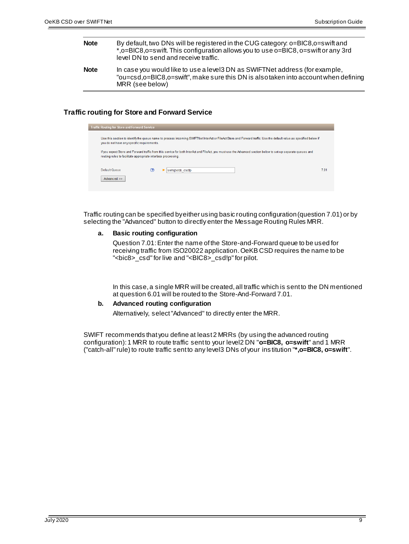- **Note** By default, two DNs will be registered in the CUG category: o=BIC8,o=swift and \*,o=BIC8,o=swift. This configuration allows you to use o=BIC8, o=swift or any 3rd level DN to send and receive traffic.
- **Note** In case you would like to use a level3 DN as SWIFTNet address (for example, "ou=csd,o=BIC8,o=swift", make sure this DN is also taken into account when defining MRR (see below)

### **Traffic routing for Store and Forward Service**

| Traffic Routing for Store and Forward Service                                                                                                                                                                                   |   |                |      |  |  |  |
|---------------------------------------------------------------------------------------------------------------------------------------------------------------------------------------------------------------------------------|---|----------------|------|--|--|--|
| Use this section to identify the queue name to process incoming SWIFTNet InterAct or FileAct Store and Forward traffic. Use the default value as specified below if<br>you do not have any specific requirements.               |   |                |      |  |  |  |
| If you expect Store and Forward traffic from this service for both InterAct and FileAct, you must use the Advanced section below to set-up separate queues and<br>routing rules to facilitate appropriate interface processing. |   |                |      |  |  |  |
| Default Queue                                                                                                                                                                                                                   | က | swhabebb csdlo | 7 01 |  |  |  |
| Advanced >>                                                                                                                                                                                                                     |   |                |      |  |  |  |

Traffic routing can be specified by either using basic routing configuration (question 7.01) or by selecting the "Advanced" button to directly enter the Message Routing Rules MRR.

#### **a. Basic routing configuration**

Question 7.01: Enter the name of the Store-and-Forward queue to be used for receiving traffic from ISO20022 application.OeKB CSD requires the name to be "<bic8>\_csd" for live and "<BIC8>\_csd!p" for pilot.

In this case, a single MRR will be created, all traffic which is sent to the DN mentioned at question 6.01 will be routed to the Store-And-Forward 7.01.

### **b. Advanced routing configuration**

Alternatively, select "Advanced" to directly enter the MRR.

SWIFT recommends that you define at least 2 MRRs (by using the advanced routing configuration): 1 MRR to route traffic sent to your level2 DN "**o=BIC8, o=swift**" and 1 MRR ("catch-all" rule) to route traffic sent to any level3 DNs of your ins titution "**\*,o=BIC8, o=swift**".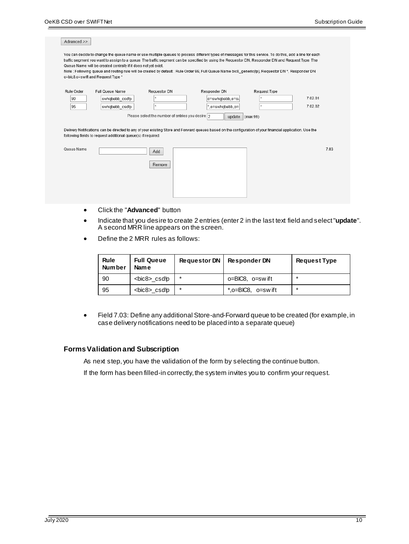| Advanced >>            |                                                                                                     |                                                                  |                                                                                                                                                                                                                                                                                                                                                                                                                                                                  |              |                    |
|------------------------|-----------------------------------------------------------------------------------------------------|------------------------------------------------------------------|------------------------------------------------------------------------------------------------------------------------------------------------------------------------------------------------------------------------------------------------------------------------------------------------------------------------------------------------------------------------------------------------------------------------------------------------------------------|--------------|--------------------|
|                        | Queue Name will be created centrally if it does not yet exist.<br>o=bic8,o=swift and Request Type * |                                                                  | You can decide to change the queue name or use multiple queues to process different types of messages for this service. To do this, add a line for each<br>traffic segment you want to assign to a queue. The traffic segment can be specified by using the Requestor DN, Responder DN and Request Type. The<br>Note: Following queue and routing rule will be created by default: Rule Order 99, Full Queue Name bic8 generic(!p), Requestor DN *, Responder DN |              |                    |
| Rule Order<br>90<br>95 | Full Queue Name<br>swhqbebb csd!p<br>swhqbebb csd!p                                                 | Requestor DN<br>Please select the number of entries you desire 2 | Responder DN<br>o=swhqbebb,o=s\<br>*,o=swhqbebb,o=<br>update $\vert$ (max 99)                                                                                                                                                                                                                                                                                                                                                                                    | Request Type | 7.02.01<br>7.02.02 |
|                        | following fields to request additional queue(s) if required.                                        |                                                                  | Delivery Notifications can be directed to any of your existing Store and Forward queues based on the configuration of your financial application. Use the                                                                                                                                                                                                                                                                                                        |              |                    |
| Queue Name             |                                                                                                     | Add<br>Remove                                                    |                                                                                                                                                                                                                                                                                                                                                                                                                                                                  |              | 7.03               |
| $\bullet$              | Click the "Advanced" button                                                                         |                                                                  |                                                                                                                                                                                                                                                                                                                                                                                                                                                                  |              |                    |

- Indicate that you desire to create 2 entries (enter 2 in the last text field and select "**update**". A second MRR line appears on the screen.
- Define the 2 MRR rules as follows:

| Rule<br><b>Number</b> | <b>Full Queue</b><br><b>Name</b> | <b>Requestor DN</b> | <b>Responder DN</b>        | <b>Request Type</b> |
|-----------------------|----------------------------------|---------------------|----------------------------|---------------------|
| 90                    | <bic8>_csdlp</bic8>              | $\ast$              | $o = BIC8$ . $o = sw$ if t |                     |
| 95                    | <bic8>_csdlp</bic8>              | *                   | $*$ , o=BIC8, o=swift      |                     |

 Field 7.03: Define any additional Store-and-Forward queue to be created (for example, in case delivery notifications need to be placed into a separate queue)

#### **Forms Validation and Subscription**

As next step, you have the validation of the form by selecting the continue button.

If the form has been filled-in correctly, the system invites you to confirm your request.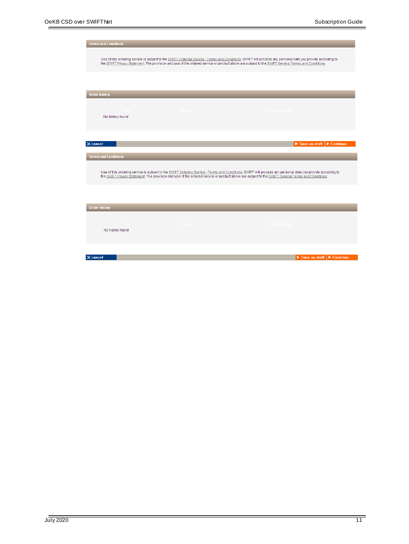| <b>Terms and Conditions</b> |                                                                                                                                                                                                                                                                                                                  |                                                          |
|-----------------------------|------------------------------------------------------------------------------------------------------------------------------------------------------------------------------------------------------------------------------------------------------------------------------------------------------------------|----------------------------------------------------------|
|                             | Use of this ordering service is subject to the SWIFT Ordering Service - Terms and Conditions. SWIFT will process any personal data you provide according to<br>the SWIFT Privacy Statement. The provision and use of the ordered service or product above are subject to the SWIFT General Terms and Conditions. |                                                          |
|                             |                                                                                                                                                                                                                                                                                                                  |                                                          |
| <b>Order history</b>        |                                                                                                                                                                                                                                                                                                                  |                                                          |
| No history found            |                                                                                                                                                                                                                                                                                                                  |                                                          |
| X cancel                    |                                                                                                                                                                                                                                                                                                                  | $\triangleright$ Save as draft $\triangleright$ Continue |
| <b>Terms and Conditions</b> |                                                                                                                                                                                                                                                                                                                  |                                                          |
|                             | Use of this ordering service is subject to the SWIFT Ordering Service - Terms and Conditions. SWIFT will process any personal data you provide according to<br>the SWIFT Privacy Statement. The provision and use of the ordered service or product above are subject to the SWIFT General Terms and Conditions. |                                                          |
|                             |                                                                                                                                                                                                                                                                                                                  |                                                          |
| <b>Order history</b>        |                                                                                                                                                                                                                                                                                                                  |                                                          |
| No history found            |                                                                                                                                                                                                                                                                                                                  |                                                          |
|                             |                                                                                                                                                                                                                                                                                                                  |                                                          |
| X cancel                    |                                                                                                                                                                                                                                                                                                                  | Save as draft $\blacktriangleright$ Continue             |